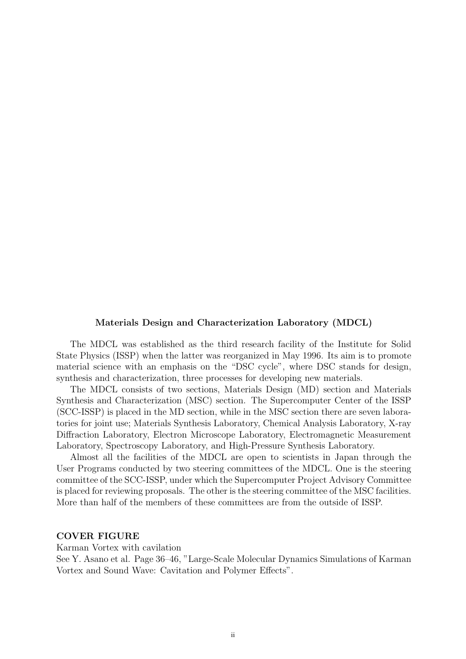#### **Materials Design and Characterization Laboratory (MDCL)**

The MDCL was established as the third research facility of the Institute for Solid State Physics (ISSP) when the latter was reorganized in May 1996. Its aim is to promote material science with an emphasis on the "DSC cycle", where DSC stands for design, synthesis and characterization, three processes for developing new materials.

The MDCL consists of two sections, Materials Design (MD) section and Materials Synthesis and Characterization (MSC) section. The Supercomputer Center of the ISSP (SCC-ISSP) is placed in the MD section, while in the MSC section there are seven laboratories for joint use; Materials Synthesis Laboratory, Chemical Analysis Laboratory, X-ray Diffraction Laboratory, Electron Microscope Laboratory, Electromagnetic Measurement Laboratory, Spectroscopy Laboratory, and High-Pressure Synthesis Laboratory.

Almost all the facilities of the MDCL are open to scientists in Japan through the User Programs conducted by two steering committees of the MDCL. One is the steering committee of the SCC-ISSP, under which the Supercomputer Project Advisory Committee is placed for reviewing proposals. The other is the steering committee of the MSC facilities. More than half of the members of these committees are from the outside of ISSP.

### **COVER FIGURE**

Karman Vortex with cavilation

See Y. Asano et al. Page 36–46, "Large-Scale Molecular Dynamics Simulations of Karman Vortex and Sound Wave: Cavitation and Polymer Effects".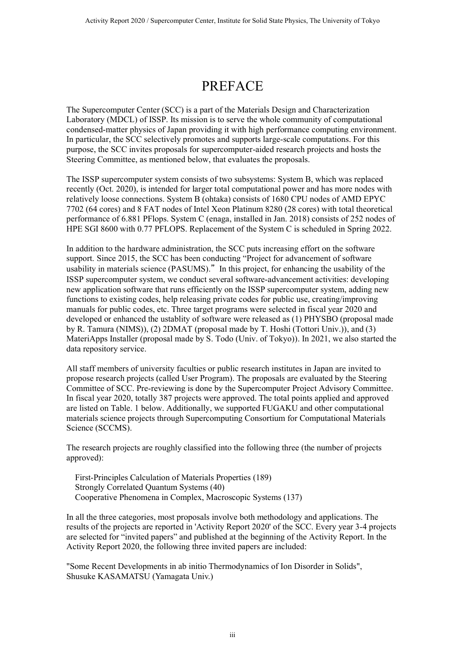## PREFACE

The Supercomputer Center (SCC) is a part of the Materials Design and Characterization Laboratory (MDCL) of ISSP. Its mission is to serve the whole community of computational condensed-matter physics of Japan providing it with high performance computing environment. In particular, the SCC selectively promotes and supports large-scale computations. For this purpose, the SCC invites proposals for supercomputer-aided research projects and hosts the Steering Committee, as mentioned below, that evaluates the proposals.

The ISSP supercomputer system consists of two subsystems: System B, which was replaced recently (Oct. 2020), is intended for larger total computational power and has more nodes with relatively loose connections. System B (ohtaka) consists of 1680 CPU nodes of AMD EPYC 7702 (64 cores) and 8 FAT nodes of Intel Xeon Platinum 8280 (28 cores) with total theoretical performance of 6.881 PFlops. System C (enaga, installed in Jan. 2018) consists of 252 nodes of HPE SGI 8600 with 0.77 PFLOPS. Replacement of the System C is scheduled in Spring 2022.

In addition to the hardware administration, the SCC puts increasing effort on the software support. Since 2015, the SCC has been conducting "Project for advancement of software usability in materials science (PASUMS)." In this project, for enhancing the usability of the ISSP supercomputer system, we conduct several software-advancement activities: developing new application software that runs efficiently on the ISSP supercomputer system, adding new functions to existing codes, help releasing private codes for public use, creating/improving manuals for public codes, etc. Three target programs were selected in fiscal year 2020 and developed or enhanced the ustablity of software were released as (1) PHYSBO (proposal made by R. Tamura (NIMS)), (2) 2DMAT (proposal made by T. Hoshi (Tottori Univ.)), and (3) MateriApps Installer (proposal made by S. Todo (Univ. of Tokyo)). In 2021, we also started the data repository service.

All staff members of university faculties or public research institutes in Japan are invited to propose research projects (called User Program). The proposals are evaluated by the Steering Committee of SCC. Pre-reviewing is done by the Supercomputer Project Advisory Committee. In fiscal year 2020, totally 387 projects were approved. The total points applied and approved are listed on Table. 1 below. Additionally, we supported FUGAKU and other computational materials science projects through Supercomputing Consortium for Computational Materials Science (SCCMS).

The research projects are roughly classified into the following three (the number of projects approved):

 First-Principles Calculation of Materials Properties (189) Strongly Correlated Quantum Systems (40) Cooperative Phenomena in Complex, Macroscopic Systems (137)

In all the three categories, most proposals involve both methodology and applications. The results of the projects are reported in 'Activity Report 2020' of the SCC. Every year 3-4 projects are selected for "invited papers" and published at the beginning of the Activity Report. In the Activity Report 2020, the following three invited papers are included:

"Some Recent Developments in ab initio Thermodynamics of Ion Disorder in Solids", Shusuke KASAMATSU (Yamagata Univ.)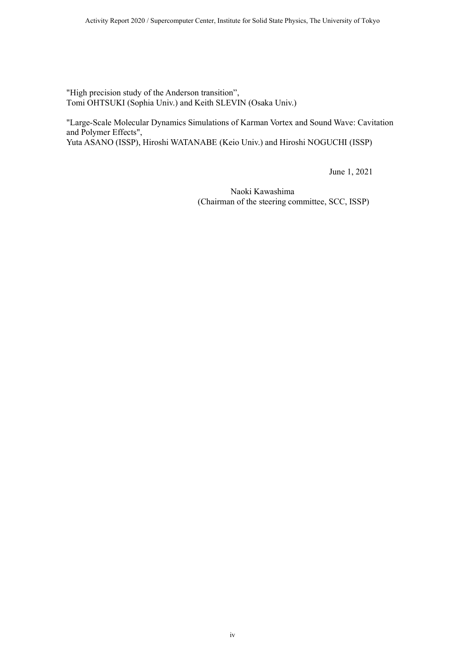"High precision study of the Anderson transition", Tomi OHTSUKI (Sophia Univ.) and Keith SLEVIN (Osaka Univ.)

"Large-Scale Molecular Dynamics Simulations of Karman Vortex and Sound Wave: Cavitation and Polymer Effects", Yuta ASANO (ISSP), Hiroshi WATANABE (Keio Univ.) and Hiroshi NOGUCHI (ISSP)

June 1, 2021

Naoki Kawashima (Chairman of the steering committee, SCC, ISSP)